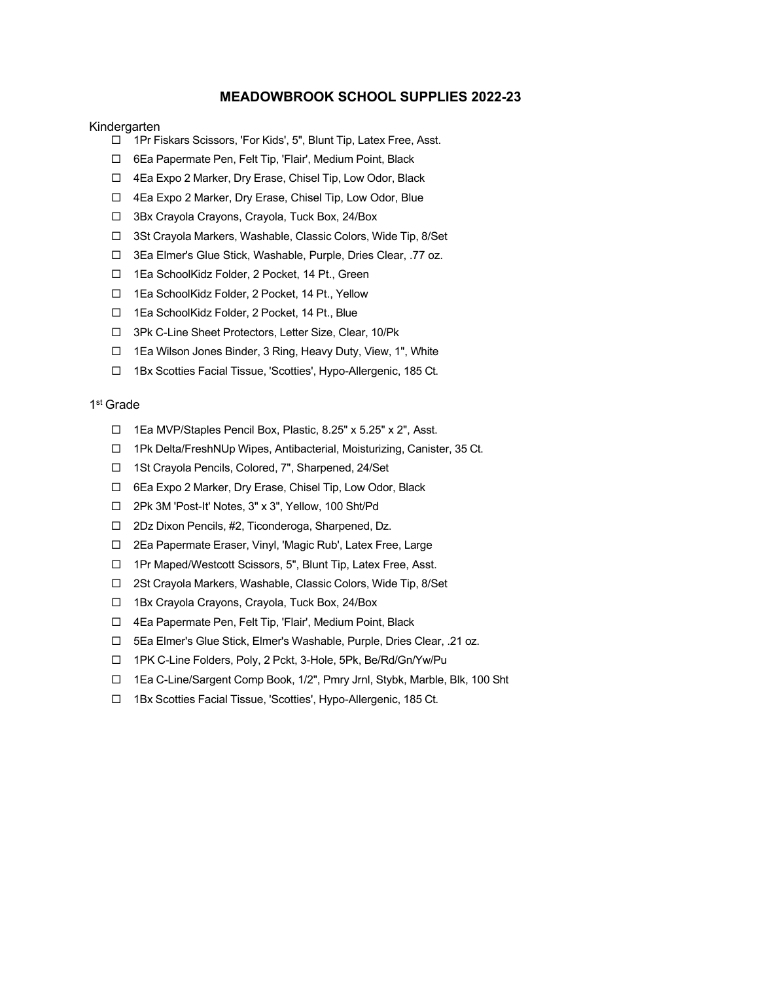## **MEADOWBROOK SCHOOL SUPPLIES 2022-23**

## Kindergarten

- □ 1Pr Fiskars Scissors, 'For Kids', 5", Blunt Tip, Latex Free, Asst.
- □ 6Ea Papermate Pen, Felt Tip, 'Flair', Medium Point, Black
- □ 4Ea Expo 2 Marker, Dry Erase, Chisel Tip, Low Odor, Black
- □ 4Ea Expo 2 Marker, Dry Erase, Chisel Tip, Low Odor, Blue
- □ 3Bx Crayola Crayons, Crayola, Tuck Box, 24/Box
- □ 3St Crayola Markers, Washable, Classic Colors, Wide Tip, 8/Set
- □ 3Ea Elmer's Glue Stick, Washable, Purple, Dries Clear, .77 oz.
- □ 1Ea SchoolKidz Folder, 2 Pocket, 14 Pt., Green
- □ 1Ea SchoolKidz Folder, 2 Pocket, 14 Pt., Yellow
- □ 1Ea SchoolKidz Folder, 2 Pocket, 14 Pt., Blue
- □ 3Pk C-Line Sheet Protectors, Letter Size, Clear, 10/Pk
- □ 1Ea Wilson Jones Binder, 3 Ring, Heavy Duty, View, 1", White
- □ 1Bx Scotties Facial Tissue, 'Scotties', Hypo-Allergenic, 185 Ct.

### 1st Grade

- □ 1Ea MVP/Staples Pencil Box, Plastic, 8.25" x 5.25" x 2", Asst.
- □ 1Pk Delta/FreshNUp Wipes, Antibacterial, Moisturizing, Canister, 35 Ct.
- □ 1St Crayola Pencils, Colored, 7", Sharpened, 24/Set
- □ 6Ea Expo 2 Marker, Dry Erase, Chisel Tip, Low Odor, Black
- □ 2Pk 3M 'Post-It' Notes, 3" x 3", Yellow, 100 Sht/Pd
- □ 2Dz Dixon Pencils, #2, Ticonderoga, Sharpened, Dz.
- □ 2Ea Papermate Eraser, Vinyl, 'Magic Rub', Latex Free, Large
- □ 1Pr Maped/Westcott Scissors, 5", Blunt Tip, Latex Free, Asst.
- □ 2St Crayola Markers, Washable, Classic Colors, Wide Tip, 8/Set
- □ 1Bx Crayola Crayons, Crayola, Tuck Box, 24/Box
- □ 4Ea Papermate Pen, Felt Tip, 'Flair', Medium Point, Black
- □ 5Ea Elmer's Glue Stick, Elmer's Washable, Purple, Dries Clear, .21 oz.
- □ 1PK C-Line Folders, Poly, 2 Pckt, 3-Hole, 5Pk, Be/Rd/Gn/Yw/Pu
- □ 1Ea C-Line/Sargent Comp Book, 1/2", Pmry Jrnl, Stybk, Marble, Blk, 100 Sht
- □ 1Bx Scotties Facial Tissue, 'Scotties', Hypo-Allergenic, 185 Ct.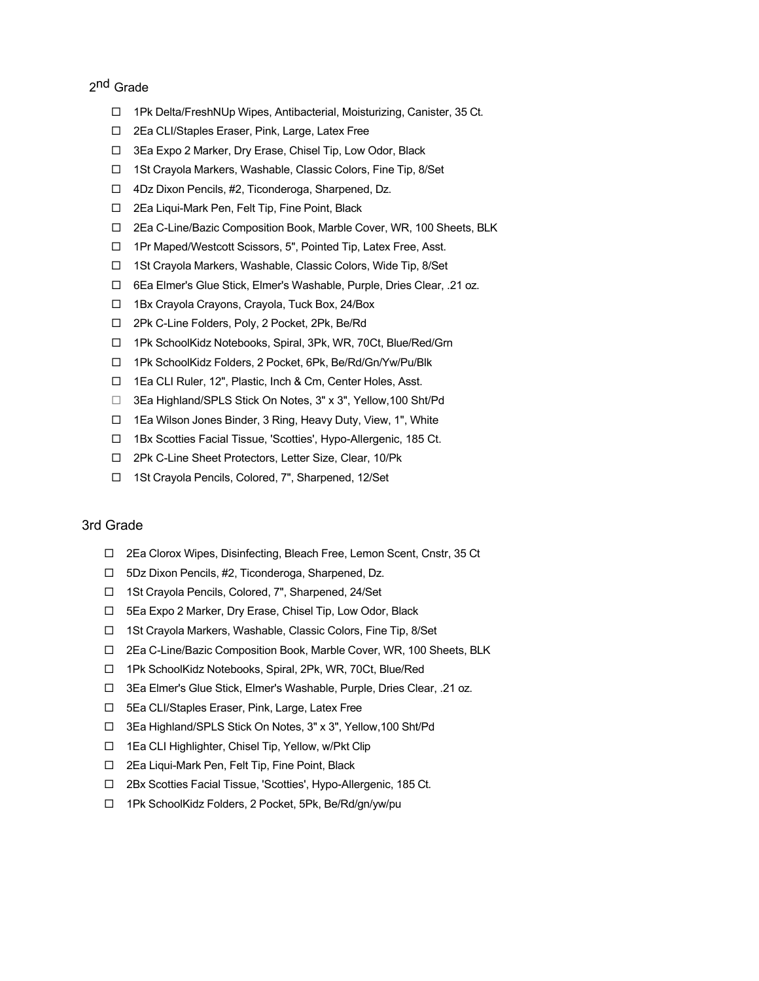# 2<sup>nd</sup> Grade

- □ 1Pk Delta/FreshNUp Wipes, Antibacterial, Moisturizing, Canister, 35 Ct.
- □ 2Ea CLI/Staples Eraser, Pink, Large, Latex Free
- □ 3Ea Expo 2 Marker, Dry Erase, Chisel Tip, Low Odor, Black
- □ 1St Crayola Markers, Washable, Classic Colors, Fine Tip, 8/Set
- □ 4Dz Dixon Pencils, #2, Ticonderoga, Sharpened, Dz.
- □ 2Ea Liqui-Mark Pen, Felt Tip, Fine Point, Black
- □ 2Ea C-Line/Bazic Composition Book, Marble Cover, WR, 100 Sheets, BLK
- □ 1Pr Maped/Westcott Scissors, 5", Pointed Tip, Latex Free, Asst.
- □ 1St Crayola Markers, Washable, Classic Colors, Wide Tip, 8/Set
- □ 6Ea Elmer's Glue Stick, Elmer's Washable, Purple, Dries Clear, .21 oz.
- □ 1Bx Crayola Crayons, Crayola, Tuck Box, 24/Box
- □ 2Pk C-Line Folders, Poly, 2 Pocket, 2Pk, Be/Rd
- □ 1Pk SchoolKidz Notebooks, Spiral, 3Pk, WR, 70Ct, Blue/Red/Grn
- □ 1Pk SchoolKidz Folders, 2 Pocket, 6Pk, Be/Rd/Gn/Yw/Pu/Blk
- □ 1Ea CLI Ruler, 12", Plastic, Inch & Cm, Center Holes, Asst.
- □ 3Ea Highland/SPLS Stick On Notes, 3" x 3", Yellow, 100 Sht/Pd
- □ 1Ea Wilson Jones Binder, 3 Ring, Heavy Duty, View, 1", White
- □ 1Bx Scotties Facial Tissue, 'Scotties', Hypo-Allergenic, 185 Ct.
- □ 2Pk C-Line Sheet Protectors, Letter Size, Clear, 10/Pk
- □ 1St Crayola Pencils, Colored, 7", Sharpened, 12/Set

## 3rd Grade

- □ 2Ea Clorox Wipes, Disinfecting, Bleach Free, Lemon Scent, Cnstr, 35 Ct
- □ 5Dz Dixon Pencils, #2, Ticonderoga, Sharpened, Dz.
- □ 1St Crayola Pencils, Colored, 7", Sharpened, 24/Set
- □ 5Ea Expo 2 Marker, Dry Erase, Chisel Tip, Low Odor, Black
- □ 1St Crayola Markers, Washable, Classic Colors, Fine Tip, 8/Set
- □ 2Ea C-Line/Bazic Composition Book, Marble Cover, WR, 100 Sheets, BLK
- □ 1Pk SchoolKidz Notebooks, Spiral, 2Pk, WR, 70Ct, Blue/Red
- □ 3Ea Elmer's Glue Stick, Elmer's Washable, Purple, Dries Clear, .21 oz.
- □ 5Ea CLI/Staples Eraser, Pink, Large, Latex Free
- □ 3Ea Highland/SPLS Stick On Notes, 3" x 3", Yellow, 100 Sht/Pd
- □ 1Ea CLI Highlighter, Chisel Tip, Yellow, w/Pkt Clip
- □ 2Ea Liqui-Mark Pen, Felt Tip, Fine Point, Black
- □ 2Bx Scotties Facial Tissue, 'Scotties', Hypo-Allergenic, 185 Ct.
- □ 1Pk SchoolKidz Folders, 2 Pocket, 5Pk, Be/Rd/gn/yw/pu